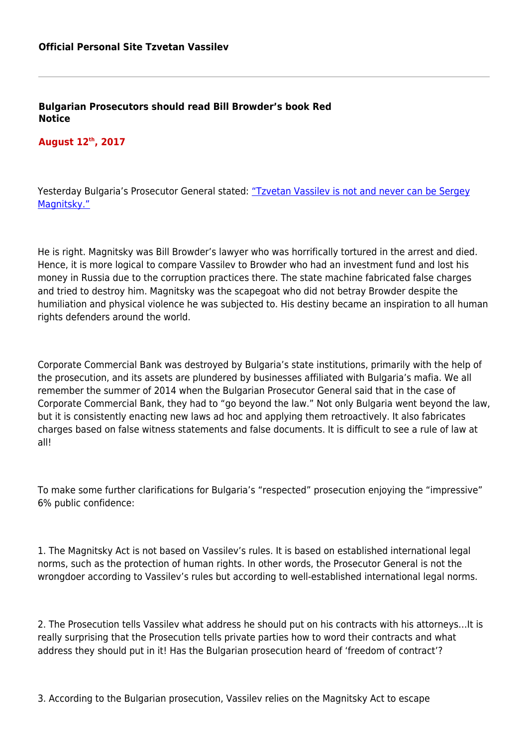**Bulgarian Prosecutors should read Bill Browder's book Red Notice**

## **August 12th, 2017**

Yesterday Bulgaria's Prosecutor General stated: ["Tzvetan Vassilev is not and never can be Sergey](http://www.faktor.bg/bg/articles/glavniyat-prokuror-za-tsvetan-vasilev-sigurno-sam-prestapnik-i-narushavam-pravata-mu) [Magnitsky."](http://www.faktor.bg/bg/articles/glavniyat-prokuror-za-tsvetan-vasilev-sigurno-sam-prestapnik-i-narushavam-pravata-mu)

He is right. Magnitsky was Bill Browder's lawyer who was horrifically tortured in the arrest and died. Hence, it is more logical to compare Vassilev to Browder who had an investment fund and lost his money in Russia due to the corruption practices there. The state machine fabricated false charges and tried to destroy him. Magnitsky was the scapegoat who did not betray Browder despite the humiliation and physical violence he was subjected to. His destiny became an inspiration to all human rights defenders around the world.

Corporate Commercial Bank was destroyed by Bulgaria's state institutions, primarily with the help of the prosecution, and its assets are plundered by businesses affiliated with Bulgaria's mafia. We all remember the summer of 2014 when the Bulgarian Prosecutor General said that in the case of Corporate Commercial Bank, they had to "go beyond the law." Not only Bulgaria went beyond the law, but it is consistently enacting new laws ad hoc and applying them retroactively. It also fabricates charges based on false witness statements and false documents. It is difficult to see a rule of law at all!

To make some further clarifications for Bulgaria's "respected" prosecution enjoying the "impressive" 6% public confidence:

1. The Magnitsky Act is not based on Vassilev's rules. It is based on established international legal norms, such as the protection of human rights. In other words, the Prosecutor General is not the wrongdoer according to Vassilev's rules but according to well-established international legal norms.

2. The Prosecution tells Vassilev what address he should put on his contracts with his attorneys…It is really surprising that the Prosecution tells private parties how to word their contracts and what address they should put in it! Has the Bulgarian prosecution heard of 'freedom of contract'?